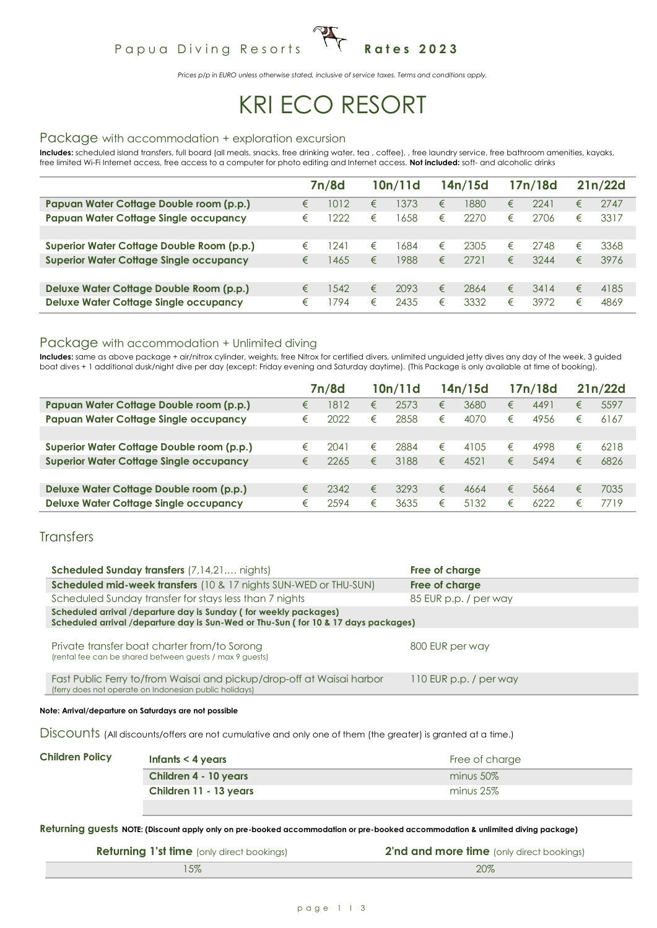## Papua Diving Resorts <sup>1</sup> T Rates 2023

*Prices p/p in EURO unless otherwise stated, inclusive of service taxes. Terms and conditions apply.*

# KRI ECO RESORT

#### Package with accommodation + exploration excursion

Includes: scheduled island transfers, full board (all meals, snacks, free drinking water, tea , coffee), , free laundry service, free bathroom amenities, kayaks, free limited Wi-Fi Internet access, free access to a computer for photo editing and Internet access. **Not included:** soft- and alcoholic drinks

|                                                |   | 7n/8d |   | 10n/11d |   | 14n/15d |   | 17n/18d |   | 21n/22d |
|------------------------------------------------|---|-------|---|---------|---|---------|---|---------|---|---------|
| Papuan Water Cottage Double room (p.p.)        | € | 1012  | € | 1373    | € | 1880    | € | 2241    | € | 2747    |
| <b>Papuan Water Cottage Single occupancy</b>   | € | 222   | € | 1658    | € | 2270    | € | 2706    | € | 3317    |
|                                                |   |       |   |         |   |         |   |         |   |         |
| Superior Water Cottage Double Room (p.p.)      | € | 241   | € | 1684    | € | 2305    | € | 2748    | € | 3368    |
| <b>Superior Water Cottage Single occupancy</b> | € | 1465  | € | 1988    | € | 2721    | € | 3244    | € | 3976    |
|                                                |   |       |   |         |   |         |   |         |   |         |
| Deluxe Water Cottage Double Room (p.p.)        | € | 542   | € | 2093    | € | 2864    | € | 3414    | € | 4185    |
| <b>Deluxe Water Cottage Single occupancy</b>   | € | 794   | € | 2435    | € | 3332    | € | 3972    | € | 4869    |

#### Package with accommodation + Unlimited diving

**Includes:** same as above package + air/nitrox cylinder, weights, free Nitrox for certified divers, unlimited unguided jetty dives any day of the week, 3 guided boat dives + 1 additional dusk/night dive per day (except: Friday evening and Saturday daytime). (This Package is only available at time of booking).

|                                                |   | 7n/8d |   | 10n/11d |   | 14n/15d |   | 17n/18d |   | 21n/22d |
|------------------------------------------------|---|-------|---|---------|---|---------|---|---------|---|---------|
| Papuan Water Cottage Double room (p.p.)        | € | 1812  | € | 2573    | € | 3680    | € | 4491    | € | 5597    |
| <b>Papuan Water Cottage Single occupancy</b>   | € | 2022  | € | 2858    | € | 4070    | € | 4956    | € | 6167    |
|                                                |   |       |   |         |   |         |   |         |   |         |
| Superior Water Cottage Double room (p.p.)      | € | 2041  | € | 2884    | € | 4105    | € | 4998    | € | 6218    |
| <b>Superior Water Cottage Single occupancy</b> | € | 2265  | € | 3188    | € | 4521    | € | 5494    | € | 6826    |
|                                                |   |       |   |         |   |         |   |         |   |         |
| Deluxe Water Cottage Double room (p.p.)        | € | 2342  | € | 3293    | € | 4664    | € | 5664    | € | 7035    |
| <b>Deluxe Water Cottage Single occupancy</b>   | € | 2594  | € | 3635    | € | 5132    | € | 6222    | € | 7719    |

#### **Transfers**

| <b>Scheduled Sunday transfers</b> (7,14,21, nights)                                                                                                    | Free of charge         |
|--------------------------------------------------------------------------------------------------------------------------------------------------------|------------------------|
| <b>Scheduled mid-week transfers</b> (10 & 17 nights SUN-WED or THU-SUN)                                                                                | Free of charge         |
| Scheduled Sunday transfer for stays less than 7 nights                                                                                                 | 85 EUR p.p. / per way  |
| Scheduled arrival /departure day is Sunday (for weekly packages)<br>Scheduled arrival /departure day is Sun-Wed or Thu-Sun (for 10 & 17 days packages) |                        |
| Private transfer boat charter from/to Sorong<br>(rental fee can be shared between guests / max 9 guests)                                               | 800 EUR per way        |
| Fast Public Ferry to/from Waisai and pickup/drop-off at Waisai harbor<br>(ferry does not operate on Indonesian public holidays)                        | 110 EUR p.p. / per way |
|                                                                                                                                                        |                        |

**Note: Arrival/departure on Saturdays are not possible**

Discounts (All discounts/offers are not cumulative and only one of them (the greater) is granted at a time.)

| <b>Children Policy</b> | Infants $<$ 4 years    | Free of charge |
|------------------------|------------------------|----------------|
|                        | Children 4 - 10 years  | minus 50%      |
|                        | Children 11 - 13 years | minus 25%      |
|                        |                        |                |

**Returning guests NOTE: (Discount apply only on pre-booked accommodation or pre-booked accommodation & unlimited diving package)**

| <b>Returning 1'st time</b> (only direct bookings) | 2'nd and more time (only direct bookings) |
|---------------------------------------------------|-------------------------------------------|
| 15%                                               | 20%                                       |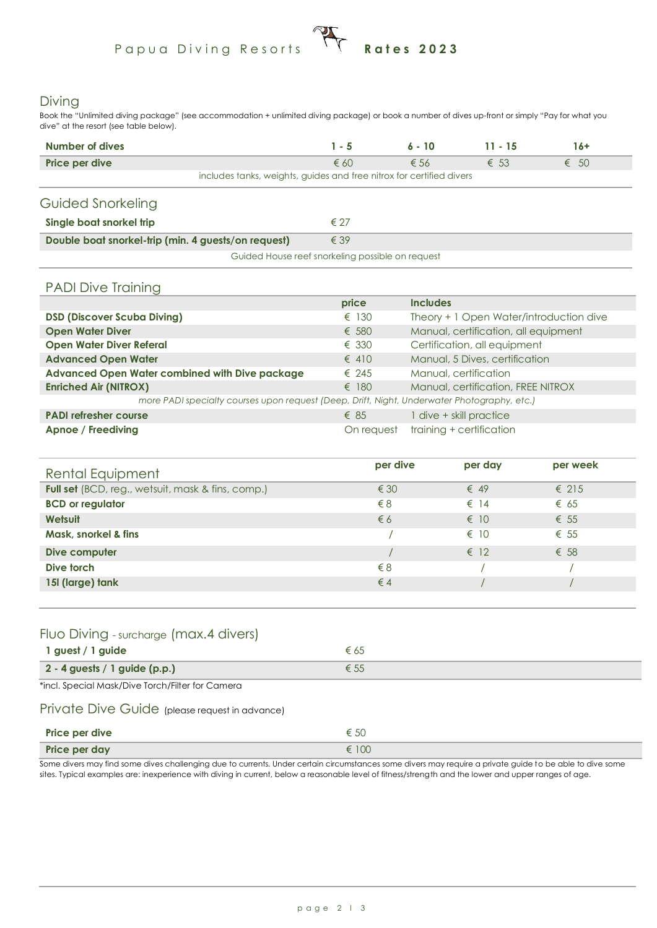# Papua Diving Resorts **Rates 2023**

#### Diving

Book the "Unlimited diving package" (see accommodation + unlimited diving package) or book a number of dives up-front or simply "Pay for what you dive" at the resort (see table below).

| Number of dives                                                      | $1 - 5$       | $6 - 10$      | $11 - 15$     | 16+           |
|----------------------------------------------------------------------|---------------|---------------|---------------|---------------|
| Price per dive                                                       | $\epsilon$ 60 | $\epsilon$ 56 | $\epsilon$ 53 | $\epsilon$ 50 |
| includes tanks, weights, guides and free nitrox for certified divers |               |               |               |               |
| Guided Snorkeling                                                    |               |               |               |               |
| Single boat snorkel trip                                             | $\epsilon$ 27 |               |               |               |
| Double boat snorkel-trip (min. 4 guests/on request)                  | $\epsilon$ 39 |               |               |               |
| Guided House reef snorkeling possible on request                     |               |               |               |               |

#### PADI Dive Training

|                                                                                             | price          | <b>Includes</b>                         |
|---------------------------------------------------------------------------------------------|----------------|-----------------------------------------|
| <b>DSD (Discover Scuba Diving)</b>                                                          | $\epsilon$ 130 | Theory + 1 Open Water/introduction dive |
| <b>Open Water Diver</b>                                                                     | $\epsilon$ 580 | Manual, certification, all equipment    |
| <b>Open Water Diver Referal</b>                                                             | $\epsilon$ 330 | Certification, all equipment            |
| <b>Advanced Open Water</b>                                                                  | $\epsilon$ 410 | Manual, 5 Dives, certification          |
| Advanced Open Water combined with Dive package                                              | $\epsilon$ 245 | Manual, certification                   |
| <b>Enriched Air (NITROX)</b>                                                                | $\epsilon$ 180 | Manual, certification, FREE NITROX      |
| more PADI specialty courses upon request (Deep, Drift, Night, Underwater Photography, etc.) |                |                                         |
| <b>PADI refresher course</b>                                                                | $\epsilon$ 85  | 1 dive + skill practice                 |
| Apnoe / Freediving                                                                          | On request     | training + certification                |

| Rental Equipment                                  | per dive      | per day       | per week       |  |
|---------------------------------------------------|---------------|---------------|----------------|--|
| Full set (BCD, reg., wetsuit, mask & fins, comp.) | $\epsilon$ 30 | $\epsilon$ 49 | $\epsilon$ 215 |  |
| <b>BCD</b> or regulator                           | $\xi$ 8       | $\epsilon$ 14 | $\epsilon$ 65  |  |
| <b>Wetsuit</b>                                    | $\epsilon$ 6  | $\epsilon$ 10 | $\epsilon$ 55  |  |
| Mask, snorkel & fins                              |               | $\epsilon$ 10 | $\epsilon$ 55  |  |
| Dive computer                                     |               | $\epsilon$ 12 | $\epsilon$ 58  |  |
| Dive torch                                        | $\xi$ 8       |               |                |  |
| 15I (large) tank                                  | $\epsilon$ 4  |               |                |  |
|                                                   |               |               |                |  |

#### Fluo Diving - surcharge (max.4 divers)

| 1 guest / 1 guide               |  |
|---------------------------------|--|
| $2 - 4$ guests / 1 guide (p.p.) |  |

\*incl. Special Mask/Dive Torch/Filter for Camera

#### Private Dive Guide (please request in advance)

| Price per dive | € 50  |
|----------------|-------|
| Price per day  | € 100 |

Some divers may find some dives challenging due to currents. Under certain circumstances some divers may require a private guide to be able to dive some sites. Typical examples are: inexperience with diving in current, below a reasonable level of fitness/strength and the lower and upper ranges of age.